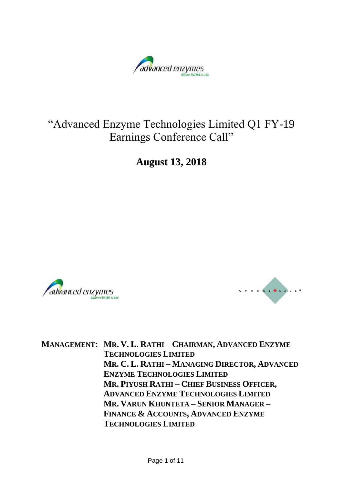

# "Advanced Enzyme Technologies Limited Q1 FY-19 Earnings Conference Call"

**August 13, 2018**





**MANAGEMENT: MR. V. L. RATHI – CHAIRMAN, ADVANCED ENZYME TECHNOLOGIES LIMITED MR. C. L. RATHI – MANAGING DIRECTOR, ADVANCED ENZYME TECHNOLOGIES LIMITED MR. PIYUSH RATHI – CHIEF BUSINESS OFFICER, ADVANCED ENZYME TECHNOLOGIES LIMITED MR. VARUN KHUNTETA – SENIOR MANAGER – FINANCE & ACCOUNTS, ADVANCED ENZYME TECHNOLOGIES LIMITED**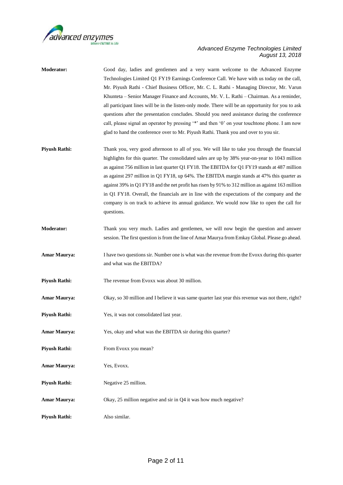

| <b>Moderator:</b>    | Good day, ladies and gentlemen and a very warm welcome to the Advanced Enzyme<br>Technologies Limited Q1 FY19 Earnings Conference Call. We have with us today on the call, |
|----------------------|----------------------------------------------------------------------------------------------------------------------------------------------------------------------------|
|                      | Mr. Piyush Rathi - Chief Business Officer, Mr. C. L. Rathi - Managing Director, Mr. Varun                                                                                  |
|                      |                                                                                                                                                                            |
|                      | Khunteta - Senior Manager Finance and Accounts, Mr. V. L. Rathi - Chairman. As a reminder,                                                                                 |
|                      | all participant lines will be in the listen-only mode. There will be an opportunity for you to ask                                                                         |
|                      | questions after the presentation concludes. Should you need assistance during the conference                                                                               |
|                      | call, please signal an operator by pressing '*' and then '0' on your touchtone phone. I am now                                                                             |
|                      | glad to hand the conference over to Mr. Piyush Rathi. Thank you and over to you sir.                                                                                       |
| <b>Piyush Rathi:</b> | Thank you, very good afternoon to all of you. We will like to take you through the financial                                                                               |
|                      | highlights for this quarter. The consolidated sales are up by 38% year-on-year to 1043 million                                                                             |
|                      | as against 756 million in last quarter Q1 FY18. The EBITDA for Q1 FY19 stands at 487 million                                                                               |
|                      | as against 297 million in Q1 FY18, up 64%. The EBITDA margin stands at 47% this quarter as                                                                                 |
|                      | against 39% in Q1 FY18 and the net profit has risen by 91% to 312 million as against 163 million                                                                           |
|                      | in Q1 FY18. Overall, the financials are in line with the expectations of the company and the                                                                               |
|                      |                                                                                                                                                                            |
|                      | company is on track to achieve its annual guidance. We would now like to open the call for<br>questions.                                                                   |
| <b>Moderator:</b>    | Thank you very much. Ladies and gentlemen, we will now begin the question and answer                                                                                       |
|                      | session. The first question is from the line of Amar Maurya from Emkay Global. Please go ahead.                                                                            |
|                      |                                                                                                                                                                            |
| <b>Amar Maurya:</b>  | I have two questions sir. Number one is what was the revenue from the Evoxx during this quarter                                                                            |
|                      | and what was the EBITDA?                                                                                                                                                   |
| <b>Piyush Rathi:</b> | The revenue from Evoxx was about 30 million.                                                                                                                               |
| <b>Amar Maurya:</b>  | Okay, so 30 million and I believe it was same quarter last year this revenue was not there, right?                                                                         |
| <b>Piyush Rathi:</b> | Yes, it was not consolidated last year.                                                                                                                                    |
| Amar Maurya:         | Yes, okay and what was the EBITDA sir during this quarter?                                                                                                                 |
|                      |                                                                                                                                                                            |
| <b>Piyush Rathi:</b> | From Evoxx you mean?                                                                                                                                                       |
| <b>Amar Maurya:</b>  | Yes, Evoxx.                                                                                                                                                                |
| <b>Piyush Rathi:</b> | Negative 25 million.                                                                                                                                                       |
| <b>Amar Maurya:</b>  | Okay, 25 million negative and sir in Q4 it was how much negative?                                                                                                          |
|                      |                                                                                                                                                                            |
| <b>Piyush Rathi:</b> | Also similar.                                                                                                                                                              |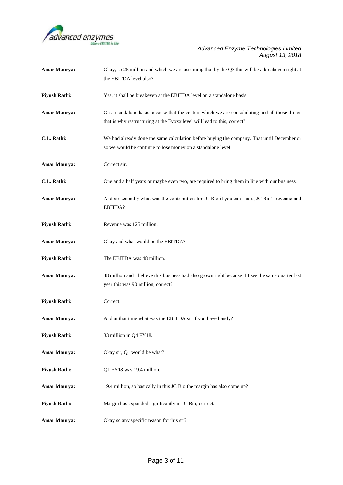

| Amar Maurya:         | Okay, so 25 million and which we are assuming that by the Q3 this will be a breakeven right at<br>the EBITDA level also?                                                   |
|----------------------|----------------------------------------------------------------------------------------------------------------------------------------------------------------------------|
| <b>Piyush Rathi:</b> | Yes, it shall be breakeven at the EBITDA level on a standalone basis.                                                                                                      |
| Amar Maurya:         | On a standalone basis because that the centers which we are consolidating and all those things<br>that is why restructuring at the Evoxx level will lead to this, correct? |
| C.L. Rathi:          | We had already done the same calculation before buying the company. That until December or<br>so we would be continue to lose money on a standalone level.                 |
| Amar Maurya:         | Correct sir.                                                                                                                                                               |
| C.L. Rathi:          | One and a half years or maybe even two, are required to bring them in line with our business.                                                                              |
| <b>Amar Maurya:</b>  | And sir secondly what was the contribution for JC Bio if you can share, JC Bio's revenue and<br>EBITDA?                                                                    |
| <b>Piyush Rathi:</b> | Revenue was 125 million.                                                                                                                                                   |
| <b>Amar Maurya:</b>  | Okay and what would be the EBITDA?                                                                                                                                         |
| <b>Piyush Rathi:</b> | The EBITDA was 48 million.                                                                                                                                                 |
| Amar Maurya:         | 48 million and I believe this business had also grown right because if I see the same quarter last<br>year this was 90 million, correct?                                   |
| <b>Piyush Rathi:</b> | Correct.                                                                                                                                                                   |
| Amar Maurya:         | And at that time what was the EBITDA sir if you have handy?                                                                                                                |
| <b>Piyush Rathi:</b> | 33 million in Q4 FY18.                                                                                                                                                     |
| <b>Amar Maurya:</b>  | Okay sir, Q1 would be what?                                                                                                                                                |
| <b>Piyush Rathi:</b> | Q1 FY18 was 19.4 million.                                                                                                                                                  |
| Amar Maurya:         | 19.4 million, so basically in this JC Bio the margin has also come up?                                                                                                     |
| <b>Piyush Rathi:</b> | Margin has expanded significantly in JC Bio, correct.                                                                                                                      |
| Amar Maurya:         | Okay so any specific reason for this sir?                                                                                                                                  |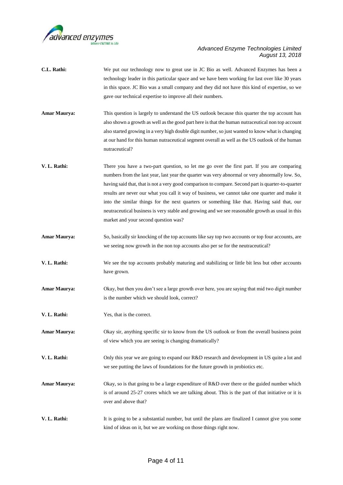

| C.L. Rathi:         | We put our technology now to great use in JC Bio as well. Advanced Enzymes has been a<br>technology leader in this particular space and we have been working for last over like 30 years                                                                                                                                                                                                                                                                                                                                                                                                                                                         |
|---------------------|--------------------------------------------------------------------------------------------------------------------------------------------------------------------------------------------------------------------------------------------------------------------------------------------------------------------------------------------------------------------------------------------------------------------------------------------------------------------------------------------------------------------------------------------------------------------------------------------------------------------------------------------------|
|                     | in this space. JC Bio was a small company and they did not have this kind of expertise, so we<br>gave our technical expertise to improve all their numbers.                                                                                                                                                                                                                                                                                                                                                                                                                                                                                      |
| Amar Maurya:        | This question is largely to understand the US outlook because this quarter the top account has<br>also shown a growth as well as the good part here is that the human nutraceutical non top account<br>also started growing in a very high double digit number, so just wanted to know what is changing<br>at our hand for this human nutraceutical segment overall as well as the US outlook of the human<br>nutraceutical?                                                                                                                                                                                                                     |
| V. L. Rathi:        | There you have a two-part question, so let me go over the first part. If you are comparing<br>numbers from the last year, last year the quarter was very abnormal or very abnormally low. So,<br>having said that, that is not a very good comparison to compare. Second part is quarter-to-quarter<br>results are never our what you call it way of business, we cannot take one quarter and make it<br>into the similar things for the next quarters or something like that. Having said that, our<br>neutraceutical business is very stable and growing and we see reasonable growth as usual in this<br>market and your second question was? |
| Amar Maurya:        | So, basically sir knocking of the top accounts like say top two accounts or top four accounts, are<br>we seeing now growth in the non top accounts also per se for the neutraceutical?                                                                                                                                                                                                                                                                                                                                                                                                                                                           |
| V. L. Rathi:        | We see the top accounts probably maturing and stabilizing or little bit less but other accounts<br>have grown.                                                                                                                                                                                                                                                                                                                                                                                                                                                                                                                                   |
| Amar Maurya:        | Okay, but then you don't see a large growth over here, you are saying that mid two digit number<br>is the number which we should look, correct?                                                                                                                                                                                                                                                                                                                                                                                                                                                                                                  |
| V. L. Rathi:        | Yes, that is the correct.                                                                                                                                                                                                                                                                                                                                                                                                                                                                                                                                                                                                                        |
| <b>Amar Maurya:</b> | Okay sir, anything specific sir to know from the US outlook or from the overall business point<br>of view which you are seeing is changing dramatically?                                                                                                                                                                                                                                                                                                                                                                                                                                                                                         |
| V. L. Rathi:        | Only this year we are going to expand our R&D research and development in US quite a lot and<br>we see putting the laws of foundations for the future growth in probiotics etc.                                                                                                                                                                                                                                                                                                                                                                                                                                                                  |
| Amar Maurya:        | Okay, so is that going to be a large expenditure of R&D over there or the guided number which<br>is of around 25-27 crores which we are talking about. This is the part of that initiative or it is<br>over and above that?                                                                                                                                                                                                                                                                                                                                                                                                                      |
| V. L. Rathi:        | It is going to be a substantial number, but until the plans are finalized I cannot give you some<br>kind of ideas on it, but we are working on those things right now.                                                                                                                                                                                                                                                                                                                                                                                                                                                                           |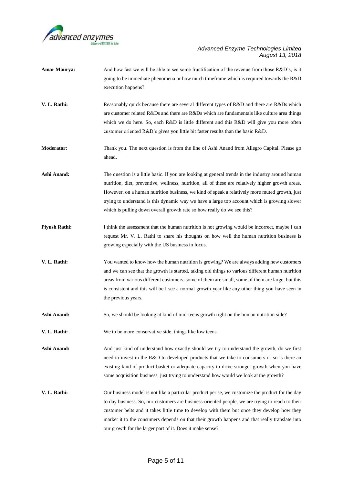

| Amar Maurya:         | And how fast we will be able to see some fructification of the revenue from those R&D's, is it<br>going to be immediate phenomena or how much timeframe which is required towards the R&D<br>execution happens?                                                                                                                                                                                                                                                                     |
|----------------------|-------------------------------------------------------------------------------------------------------------------------------------------------------------------------------------------------------------------------------------------------------------------------------------------------------------------------------------------------------------------------------------------------------------------------------------------------------------------------------------|
| V. L. Rathi:         | Reasonably quick because there are several different types of R&D and there are R&Ds which<br>are customer related R&Ds and there are R&Ds which are fundamentals like culture area things<br>which we do here. So, each R&D is little different and this R&D will give you more often<br>customer oriented R&D's gives you little bit faster results than the basic R&D.                                                                                                           |
| <b>Moderator:</b>    | Thank you. The next question is from the line of Ashi Anand from Allegro Capital. Please go<br>ahead.                                                                                                                                                                                                                                                                                                                                                                               |
| Ashi Anand:          | The question is a little basic. If you are looking at general trends in the industry around human<br>nutrition, diet, preventive, wellness, nutrition, all of these are relatively higher growth areas.<br>However, on a human nutrition business, we kind of speak a relatively more muted growth, just<br>trying to understand is this dynamic way we have a large top account which is growing slower<br>which is pulling down overall growth rate so how really do we see this? |
| <b>Piyush Rathi:</b> | I think the assessment that the human nutrition is not growing would be incorrect, maybe I can<br>request Mr. V. L. Rathi to share his thoughts on how well the human nutrition business is<br>growing especially with the US business in focus.                                                                                                                                                                                                                                    |
| V. L. Rathi:         | You wanted to know how the human nutrition is growing? We are always adding new customers<br>and we can see that the growth is started, taking old things to various different human nutrition<br>areas from various different customers, some of them are small, some of them are large, but this<br>is consistent and this will be I see a normal growth year like any other thing you have seen in<br>the previous years.                                                        |
| Ashi Anand:          | So, we should be looking at kind of mid-teens growth right on the human nutrition side?                                                                                                                                                                                                                                                                                                                                                                                             |
| V. L. Rathi:         | We to be more conservative side, things like low teens.                                                                                                                                                                                                                                                                                                                                                                                                                             |
| Ashi Anand:          | And just kind of understand how exactly should we try to understand the growth, do we first<br>need to invest in the R&D to developed products that we take to consumers or so is there an<br>existing kind of product basket or adequate capacity to drive stronger growth when you have<br>some acquisition business, just trying to understand how would we look at the growth?                                                                                                  |
| V. L. Rathi:         | Our business model is not like a particular product per se, we customize the product for the day<br>to day business. So, our customers are business-oriented people, we are trying to reach to their<br>customer belts and it takes little time to develop with them but once they develop how they<br>market it to the consumers depends on that their growth happens and that really translate into<br>our growth for the larger part of it. Does it make sense?                  |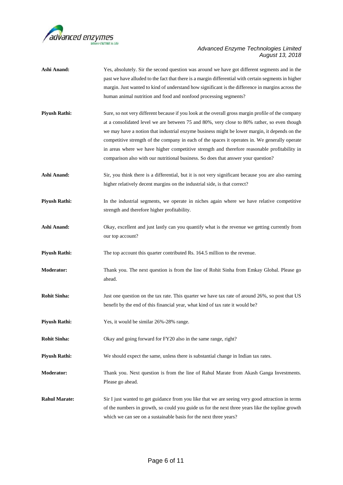

| <b>Ashi Anand:</b>   | Yes, absolutely. Sir the second question was around we have got different segments and in the<br>past we have alluded to the fact that there is a margin differential with certain segments in higher |
|----------------------|-------------------------------------------------------------------------------------------------------------------------------------------------------------------------------------------------------|
|                      | margin. Just wanted to kind of understand how significant is the difference in margins across the                                                                                                     |
|                      | human animal nutrition and food and nonfood processing segments?                                                                                                                                      |
|                      |                                                                                                                                                                                                       |
| <b>Piyush Rathi:</b> | Sure, so not very different because if you look at the overall gross margin profile of the company                                                                                                    |
|                      | at a consolidated level we are between 75 and 80%, very close to 80% rather, so even though                                                                                                           |
|                      | we may have a notion that industrial enzyme business might be lower margin, it depends on the                                                                                                         |
|                      | competitive strength of the company in each of the spaces it operates in. We generally operate                                                                                                        |
|                      | in areas where we have higher competitive strength and therefore reasonable profitability in                                                                                                          |
|                      | comparison also with our nutritional business. So does that answer your question?                                                                                                                     |
|                      |                                                                                                                                                                                                       |
| Ashi Anand:          | Sir, you think there is a differential, but it is not very significant because you are also earning                                                                                                   |
|                      | higher relatively decent margins on the industrial side, is that correct?                                                                                                                             |
| <b>Piyush Rathi:</b> | In the industrial segments, we operate in niches again where we have relative competitive                                                                                                             |
|                      | strength and therefore higher profitability.                                                                                                                                                          |
| <b>Ashi Anand:</b>   | Okay, excellent and just lastly can you quantify what is the revenue we getting currently from                                                                                                        |
|                      | our top account?                                                                                                                                                                                      |
|                      |                                                                                                                                                                                                       |
| <b>Piyush Rathi:</b> | The top account this quarter contributed Rs. 164.5 million to the revenue.                                                                                                                            |
| <b>Moderator:</b>    | Thank you. The next question is from the line of Rohit Sinha from Emkay Global. Please go                                                                                                             |
|                      | ahead.                                                                                                                                                                                                |
| <b>Rohit Sinha:</b>  | Just one question on the tax rate. This quarter we have tax rate of around 26%, so post that US                                                                                                       |
|                      | benefit by the end of this financial year, what kind of tax rate it would be?                                                                                                                         |
| <b>Pivush Rathi:</b> | Yes, it would be similar 26%-28% range.                                                                                                                                                               |
|                      |                                                                                                                                                                                                       |
| <b>Rohit Sinha:</b>  | Okay and going forward for FY20 also in the same range, right?                                                                                                                                        |
| <b>Piyush Rathi:</b> | We should expect the same, unless there is substantial change in Indian tax rates.                                                                                                                    |
| <b>Moderator:</b>    | Thank you. Next question is from the line of Rahul Marate from Akash Ganga Investments.                                                                                                               |
|                      |                                                                                                                                                                                                       |
|                      | Please go ahead.                                                                                                                                                                                      |
| <b>Rahul Marate:</b> | Sir I just wanted to get guidance from you like that we are seeing very good attraction in terms                                                                                                      |
|                      | of the numbers in growth, so could you guide us for the next three years like the topline growth                                                                                                      |
|                      | which we can see on a sustainable basis for the next three years?                                                                                                                                     |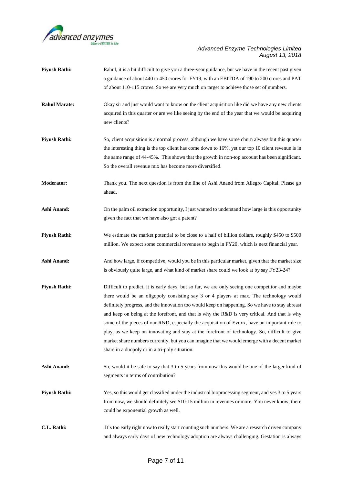

| <b>Piyush Rathi:</b> | Rahul, it is a bit difficult to give you a three-year guidance, but we have in the recent past given<br>a guidance of about 440 to 450 crores for FY19, with an EBITDA of 190 to 200 crores and PAT<br>of about 110-115 crores. So we are very much on target to achieve those set of numbers.                                                                                                                                                                                                                                                                                                                                                                                                                                                     |
|----------------------|----------------------------------------------------------------------------------------------------------------------------------------------------------------------------------------------------------------------------------------------------------------------------------------------------------------------------------------------------------------------------------------------------------------------------------------------------------------------------------------------------------------------------------------------------------------------------------------------------------------------------------------------------------------------------------------------------------------------------------------------------|
| <b>Rahul Marate:</b> | Okay sir and just would want to know on the client acquisition like did we have any new clients<br>acquired in this quarter or are we like seeing by the end of the year that we would be acquiring<br>new clients?                                                                                                                                                                                                                                                                                                                                                                                                                                                                                                                                |
| <b>Piyush Rathi:</b> | So, client acquisition is a normal process, although we have some churn always but this quarter<br>the interesting thing is the top client has come down to 16%, yet our top 10 client revenue is in<br>the same range of 44-45%. This shows that the growth in non-top account has been significant.<br>So the overall revenue mix has become more diversified.                                                                                                                                                                                                                                                                                                                                                                                   |
| <b>Moderator:</b>    | Thank you. The next question is from the line of Ashi Anand from Allegro Capital. Please go<br>ahead.                                                                                                                                                                                                                                                                                                                                                                                                                                                                                                                                                                                                                                              |
| Ashi Anand:          | On the palm oil extraction opportunity, I just wanted to understand how large is this opportunity<br>given the fact that we have also got a patent?                                                                                                                                                                                                                                                                                                                                                                                                                                                                                                                                                                                                |
| <b>Piyush Rathi:</b> | We estimate the market potential to be close to a half of billion dollars, roughly \$450 to \$500<br>million. We expect some commercial revenues to begin in FY20, which is next financial year.                                                                                                                                                                                                                                                                                                                                                                                                                                                                                                                                                   |
| Ashi Anand:          | And how large, if competitive, would you be in this particular market, given that the market size<br>is obviously quite large, and what kind of market share could we look at by say FY23-24?                                                                                                                                                                                                                                                                                                                                                                                                                                                                                                                                                      |
| <b>Piyush Rathi:</b> | Difficult to predict, it is early days, but so far, we are only seeing one competitor and maybe<br>there would be an oligopoly consisting say 3 or 4 players at max. The technology would<br>definitely progress, and the innovation too would keep on happening. So we have to stay abreast<br>and keep on being at the forefront, and that is why the R&D is very critical. And that is why<br>some of the pieces of our R&D, especially the acquisition of Evoxx, have an important role to<br>play, as we keep on innovating and stay at the forefront of technology. So, difficult to give<br>market share numbers currently, but you can imagine that we would emerge with a decent market<br>share in a duopoly or in a tri-poly situation. |
| Ashi Anand:          | So, would it be safe to say that 3 to 5 years from now this would be one of the larger kind of<br>segments in terms of contribution?                                                                                                                                                                                                                                                                                                                                                                                                                                                                                                                                                                                                               |
| <b>Piyush Rathi:</b> | Yes, so this would get classified under the industrial bioprocessing segment, and yes 3 to 5 years<br>from now, we should definitely see \$10-15 million in revenues or more. You never know, there<br>could be exponential growth as well.                                                                                                                                                                                                                                                                                                                                                                                                                                                                                                        |
| C.L. Rathi:          | It's too early right now to really start counting such numbers. We are a research driven company<br>and always early days of new technology adoption are always challenging. Gestation is always                                                                                                                                                                                                                                                                                                                                                                                                                                                                                                                                                   |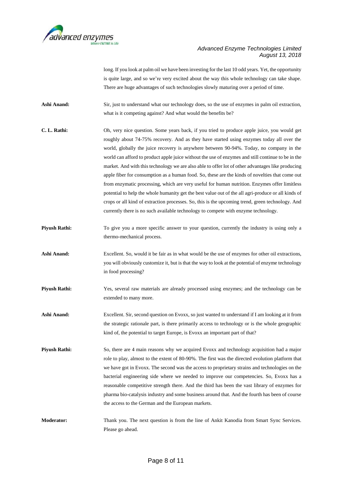

long. If you look at palm oil we have been investing for the last 10 odd years. Yet, the opportunity is quite large, and so we're very excited about the way this whole technology can take shape. There are huge advantages of such technologies slowly maturing over a period of time.

**Ashi Anand:** Sir, just to understand what our technology does, so the use of enzymes in palm oil extraction, what is it competing against? And what would the benefits be?

- **C. L. Rathi:** Oh, very nice question. Some years back, if you tried to produce apple juice, you would get roughly about 74-75% recovery. And as they have started using enzymes today all over the world, globally the juice recovery is anywhere between 90-94%. Today, no company in the world can afford to product apple juice without the use of enzymes and still continue to be in the market. And with this technology we are also able to offer lot of other advantages like producing apple fiber for consumption as a human food. So, these are the kinds of novelties that come out from enzymatic processing, which are very useful for human nutrition. Enzymes offer limitless potential to help the whole humanity get the best value out of the all agri-produce or all kinds of crops or all kind of extraction processes. So, this is the upcoming trend, green technology. And currently there is no such available technology to compete with enzyme technology.
- **Piyush Rathi:** To give you a more specific answer to your question, currently the industry is using only a thermo-mechanical process.
- Ashi Anand: Excellent. So, would it be fair as in what would be the use of enzymes for other oil extractions, you will obviously customize it, but is that the way to look at the potential of enzyme technology in food processing?
- **Piyush Rathi:** Yes, several raw materials are already processed using enzymes; and the technology can be extended to many more.
- Ashi Anand: Excellent. Sir, second question on Evoxx, so just wanted to understand if I am looking at it from the strategic rationale part, is there primarily access to technology or is the whole geographic kind of, the potential to target Europe, is Evoxx an important part of that?
- **Piyush Rathi:** So, there are 4 main reasons why we acquired Evoxx and technology acquisition had a major role to play, almost to the extent of 80-90%. The first was the directed evolution platform that we have got in Evoxx. The second was the access to proprietary strains and technologies on the bacterial engineering side where we needed to improve our competencies. So, Evoxx has a reasonable competitive strength there. And the third has been the vast library of enzymes for pharma bio-catalysis industry and some business around that. And the fourth has been of course the access to the German and the European markets.
- **Moderator:** Thank you. The next question is from the line of Ankit Kanodia from Smart Sync Services. Please go ahead.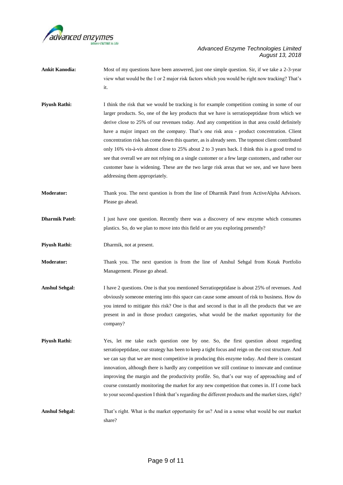

- **Ankit Kanodia:** Most of my questions have been answered, just one simple question. Sir, if we take a 2-3-year view what would be the 1 or 2 major risk factors which you would be right now tracking? That's it.
- **Piyush Rathi:** I think the risk that we would be tracking is for example competition coming in some of our larger products. So, one of the key products that we have is serratiopeptidase from which we derive close to 25% of our revenues today. And any competition in that area could definitely have a major impact on the company. That's one risk area - product concentration. Client concentration risk has come down this quarter, as is already seen. The topmost client contributed only 16% vis-à-vis almost close to 25% about 2 to 3 years back. I think this is a good trend to see that overall we are not relying on a single customer or a few large customers, and rather our customer base is widening. These are the two large risk areas that we see, and we have been addressing them appropriately.
- **Moderator:** Thank you. The next question is from the line of Dharmik Patel from ActiveAlpha Advisors. Please go ahead.
- **Dharmik Patel:** I just have one question. Recently there was a discovery of new enzyme which consumes plastics. So, do we plan to move into this field or are you exploring presently?
- **Piyush Rathi:** Dharmik, not at present.
- **Moderator:** Thank you. The next question is from the line of Anshul Sehgal from Kotak Portfolio Management. Please go ahead.
- **Anshul Sehgal:** I have 2 questions. One is that you mentioned Serratiopeptidase is about 25% of revenues. And obviously someone entering into this space can cause some amount of risk to business. How do you intend to mitigate this risk? One is that and second is that in all the products that we are present in and in those product categories, what would be the market opportunity for the company?
- **Piyush Rathi:** Yes, let me take each question one by one. So, the first question about regarding serratiopeptidase, our strategy has been to keep a tight focus and reign on the cost structure. And we can say that we are most competitive in producing this enzyme today. And there is constant innovation, although there is hardly any competition we still continue to innovate and continue improving the margin and the productivity profile. So, that's our way of approaching and of course constantly monitoring the market for any new competition that comes in. If I come back to your second question I think that's regarding the different products and the market sizes, right?
- **Anshul Sehgal:** That's right. What is the market opportunity for us? And in a sense what would be our market share?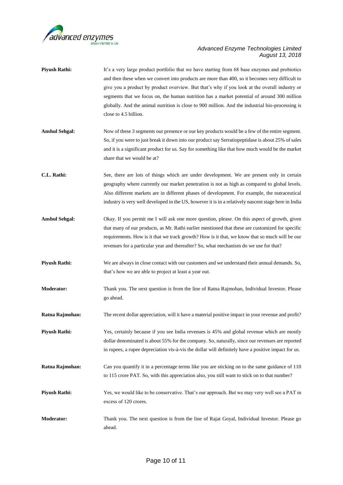

| <b>Piyush Rathi:</b>  | It's a very large product portfolio that we have starting from 68 base enzymes and probiotics<br>and then these when we convert into products are more than 400, so it becomes very difficult to<br>give you a product by product overview. But that's why if you look at the overall industry or<br>segments that we focus on, the human nutrition has a market potential of around 300 million<br>globally. And the animal nutrition is close to 900 million. And the industrial bio-processing is<br>close to 4.5 billion. |
|-----------------------|-------------------------------------------------------------------------------------------------------------------------------------------------------------------------------------------------------------------------------------------------------------------------------------------------------------------------------------------------------------------------------------------------------------------------------------------------------------------------------------------------------------------------------|
| <b>Anshul Sehgal:</b> | Now of these 3 segments our presence or our key products would be a few of the entire segment.<br>So, if you were to just break it down into our product say Serratiopeptidase is about 25% of sales<br>and it is a significant product for us. Say for something like that how much would be the market<br>share that we would be at?                                                                                                                                                                                        |
| C.L. Rathi:           | See, there are lots of things which are under development. We are present only in certain<br>geography where currently our market penetration is not as high as compared to global levels.<br>Also different markets are in different phases of development. For example, the nutraceutical<br>industry is very well developed in the US, however it is in a relatively nascent stage here in India                                                                                                                           |
| <b>Anshul Sehgal:</b> | Okay. If you permit me I will ask one more question, please. On this aspect of growth, given<br>that many of our products, as Mr. Rathi earlier mentioned that these are customized for specific<br>requirements. How is it that we track growth? How is it that, we know that so much will be our<br>revenues for a particular year and thereafter? So, what mechanism do we use for that?                                                                                                                                   |
| <b>Piyush Rathi:</b>  | We are always in close contact with our customers and we understand their annual demands. So,<br>that's how we are able to project at least a year out.                                                                                                                                                                                                                                                                                                                                                                       |
| <b>Moderator:</b>     | Thank you. The next question is from the line of Ratna Rajmohan, Individual Investor. Please<br>go ahead.                                                                                                                                                                                                                                                                                                                                                                                                                     |
| Ratna Rajmohan:       | The recent dollar appreciation, will it have a material positive impact in your revenue and profit?                                                                                                                                                                                                                                                                                                                                                                                                                           |
| <b>Piyush Rathi:</b>  | Yes, certainly because if you see India revenues is 45% and global revenue which are mostly<br>dollar denominated is about 55% for the company. So, naturally, since our revenues are reported<br>in rupees, a rupee depreciation vis-à-vis the dollar will definitely have a positive impact for us.                                                                                                                                                                                                                         |
| Ratna Rajmohan:       | Can you quantify it in a percentage terms like you are sticking on to the same guidance of 110<br>to 115 crore PAT. So, with this appreciation also, you still want to stick on to that number?                                                                                                                                                                                                                                                                                                                               |
| <b>Piyush Rathi:</b>  | Yes, we would like to be conservative. That's our approach. But we may very well see a PAT in<br>excess of 120 crores.                                                                                                                                                                                                                                                                                                                                                                                                        |
| <b>Moderator:</b>     | Thank you. The next question is from the line of Rajat Goyal, Individual Investor. Please go<br>ahead.                                                                                                                                                                                                                                                                                                                                                                                                                        |